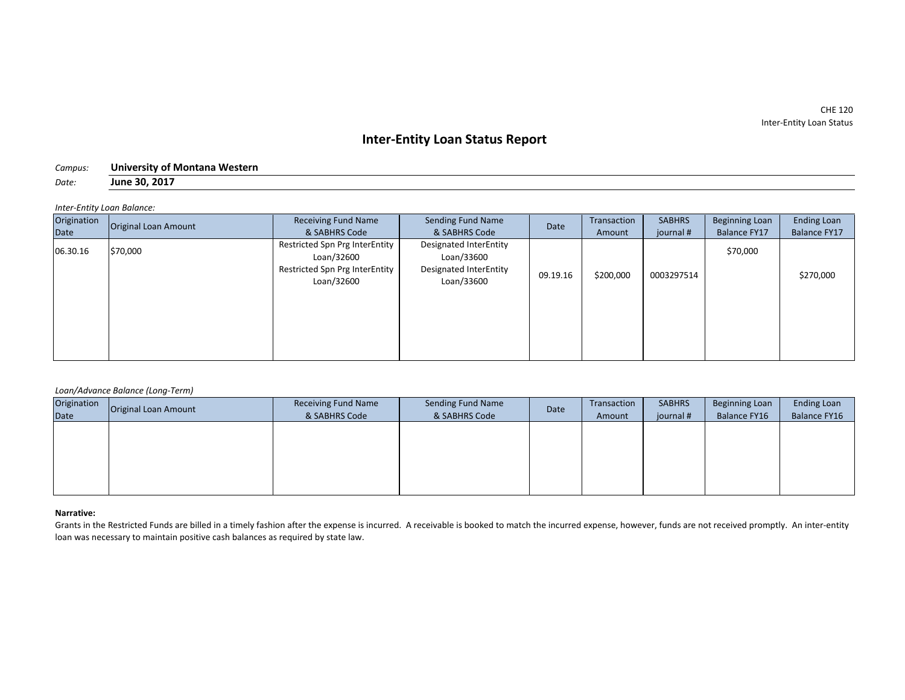CHE 120 Inter-Entity Loan Status

# **Inter-Entity Loan Status Report**

| Campus: | University of Montana Western |
|---------|-------------------------------|
| Date:   | June 30, 2017                 |

*Inter-Entity Loan Balance:*

| Origination | <b>Original Loan Amount</b> | <b>Receiving Fund Name</b>                                                                   | Sending Fund Name                                                            | Date     | Transaction | <b>SABHRS</b> | <b>Beginning Loan</b> | <b>Ending Loan</b> |
|-------------|-----------------------------|----------------------------------------------------------------------------------------------|------------------------------------------------------------------------------|----------|-------------|---------------|-----------------------|--------------------|
| Date        |                             | & SABHRS Code                                                                                | & SABHRS Code                                                                |          | Amount      | journal #     | <b>Balance FY17</b>   | Balance FY17       |
| 06.30.16    | \$70,000                    | Restricted Spn Prg InterEntity<br>Loan/32600<br>Restricted Spn Prg InterEntity<br>Loan/32600 | Designated InterEntity<br>Loan/33600<br>Designated InterEntity<br>Loan/33600 | 09.19.16 | \$200,000   | 0003297514    | \$70,000              | \$270,000          |

# *Loan/Advance Balance (Long-Term)*

| Origination | Original Loan Amount | Receiving Fund Name | Sending Fund Name | Date | Transaction | <b>SABHRS</b> | Beginning Loan | <b>Ending Loan</b> |
|-------------|----------------------|---------------------|-------------------|------|-------------|---------------|----------------|--------------------|
| Date        |                      | & SABHRS Code       | & SABHRS Code     |      | Amount      | journal #     | Balance FY16   | Balance FY16       |
|             |                      |                     |                   |      |             |               |                |                    |
|             |                      |                     |                   |      |             |               |                |                    |
|             |                      |                     |                   |      |             |               |                |                    |
|             |                      |                     |                   |      |             |               |                |                    |
|             |                      |                     |                   |      |             |               |                |                    |
|             |                      |                     |                   |      |             |               |                |                    |

## **Narrative:**

Grants in the Restricted Funds are billed in a timely fashion after the expense is incurred. A receivable is booked to match the incurred expense, however, funds are not received promptly. An inter-entity loan was necessary to maintain positive cash balances as required by state law.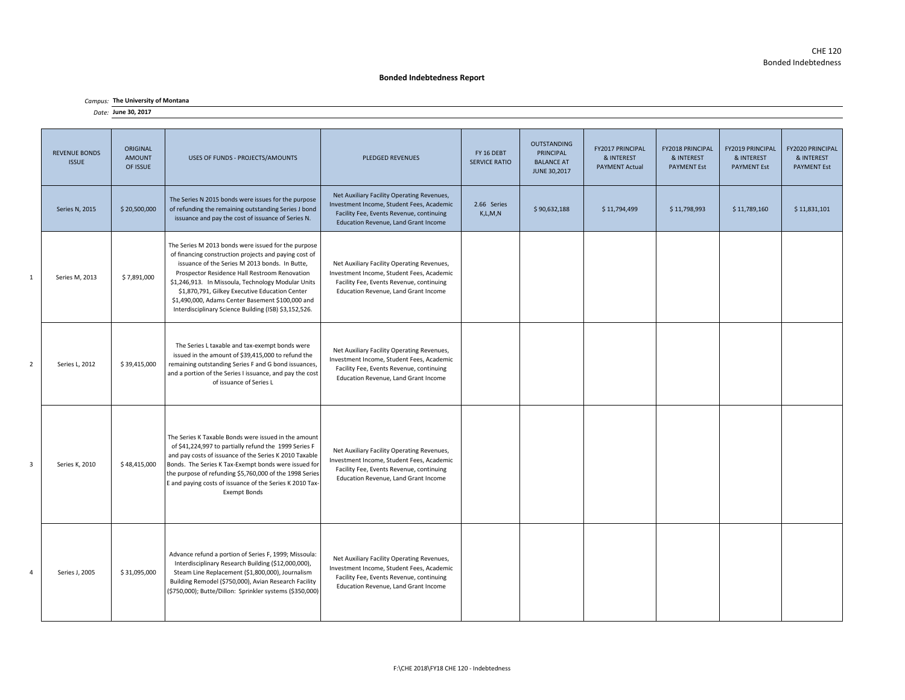## **Bonded Indebtedness Report**

## *Campus:* **The University of Montana**

#### *Date:* **June 30, 2017**

| <b>REVENUE BONDS</b><br><b>ISSUE</b> | ORIGINAL<br><b>AMOUNT</b><br>OF ISSUE | USES OF FUNDS - PROJECTS/AMOUNTS                                                                                                                                                                                                                                                                                                                                                                                                     | <b>PLEDGED REVENUES</b>                                                                                                                                                     | FY 16 DEBT<br><b>SERVICE RATIO</b> | <b>OUTSTANDING</b><br>PRINCIPAL<br><b>BALANCE AT</b><br>JUNE 30,2017 | FY2017 PRINCIPAL<br>& INTEREST<br><b>PAYMENT Actual</b> | <b>FY2018 PRINCIPAL</b><br>& INTEREST<br><b>PAYMENT Est</b> | <b>FY2019 PRINCIPAL</b><br>& INTEREST<br><b>PAYMENT Est</b> | FY2020 PRINCIPAL<br>& INTEREST<br><b>PAYMENT Est</b> |
|--------------------------------------|---------------------------------------|--------------------------------------------------------------------------------------------------------------------------------------------------------------------------------------------------------------------------------------------------------------------------------------------------------------------------------------------------------------------------------------------------------------------------------------|-----------------------------------------------------------------------------------------------------------------------------------------------------------------------------|------------------------------------|----------------------------------------------------------------------|---------------------------------------------------------|-------------------------------------------------------------|-------------------------------------------------------------|------------------------------------------------------|
| Series N, 2015                       | \$20,500,000                          | The Series N 2015 bonds were issues for the purpose<br>of refunding the remaining outstanding Series J bond<br>issuance and pay the cost of issuance of Series N.                                                                                                                                                                                                                                                                    | Net Auxiliary Facility Operating Revenues,<br>Investment Income, Student Fees, Academic<br>Facility Fee, Events Revenue, continuing<br>Education Revenue, Land Grant Income | 2.66 Series<br>K, L, M, N          | \$90,632,188                                                         | \$11,794,499                                            | \$11,798,993                                                | \$11,789,160                                                | \$11,831,101                                         |
| Series M, 2013                       | \$7,891,000                           | The Series M 2013 bonds were issued for the purpose<br>of financing construction projects and paying cost of<br>issuance of the Series M 2013 bonds. In Butte,<br>Prospector Residence Hall Restroom Renovation<br>\$1,246,913. In Missoula, Technology Modular Units<br>\$1,870,791, Gilkey Executive Education Center<br>\$1,490,000, Adams Center Basement \$100,000 and<br>Interdisciplinary Science Building (ISB) \$3,152,526. | Net Auxiliary Facility Operating Revenues,<br>Investment Income, Student Fees, Academic<br>Facility Fee, Events Revenue, continuing<br>Education Revenue, Land Grant Income |                                    |                                                                      |                                                         |                                                             |                                                             |                                                      |
| Series L, 2012                       | \$39,415,000                          | The Series L taxable and tax-exempt bonds were<br>issued in the amount of \$39,415,000 to refund the<br>remaining outstanding Series F and G bond issuances,<br>and a portion of the Series I issuance, and pay the cost<br>of issuance of Series L                                                                                                                                                                                  | Net Auxiliary Facility Operating Revenues,<br>Investment Income, Student Fees, Academic<br>Facility Fee, Events Revenue, continuing<br>Education Revenue, Land Grant Income |                                    |                                                                      |                                                         |                                                             |                                                             |                                                      |
| Series K, 2010                       | \$48,415,000                          | The Series K Taxable Bonds were issued in the amount<br>of \$41,224,997 to partially refund the 1999 Series F<br>and pay costs of issuance of the Series K 2010 Taxable<br>Bonds. The Series K Tax-Exempt bonds were issued for<br>the purpose of refunding \$5,760,000 of the 1998 Series<br>E and paying costs of issuance of the Series K 2010 Tax-<br><b>Exempt Bonds</b>                                                        | Net Auxiliary Facility Operating Revenues,<br>Investment Income, Student Fees, Academic<br>Facility Fee, Events Revenue, continuing<br>Education Revenue, Land Grant Income |                                    |                                                                      |                                                         |                                                             |                                                             |                                                      |
| Series J, 2005                       | \$31,095,000                          | Advance refund a portion of Series F, 1999; Missoula:<br>Interdisciplinary Research Building (\$12,000,000),<br>Steam Line Replacement (\$1,800,000), Journalism<br>Building Remodel (\$750,000), Avian Research Facility<br>(\$750,000); Butte/Dillon: Sprinkler systems (\$350,000)                                                                                                                                                | Net Auxiliary Facility Operating Revenues,<br>Investment Income, Student Fees, Academic<br>Facility Fee, Events Revenue, continuing<br>Education Revenue, Land Grant Income |                                    |                                                                      |                                                         |                                                             |                                                             |                                                      |